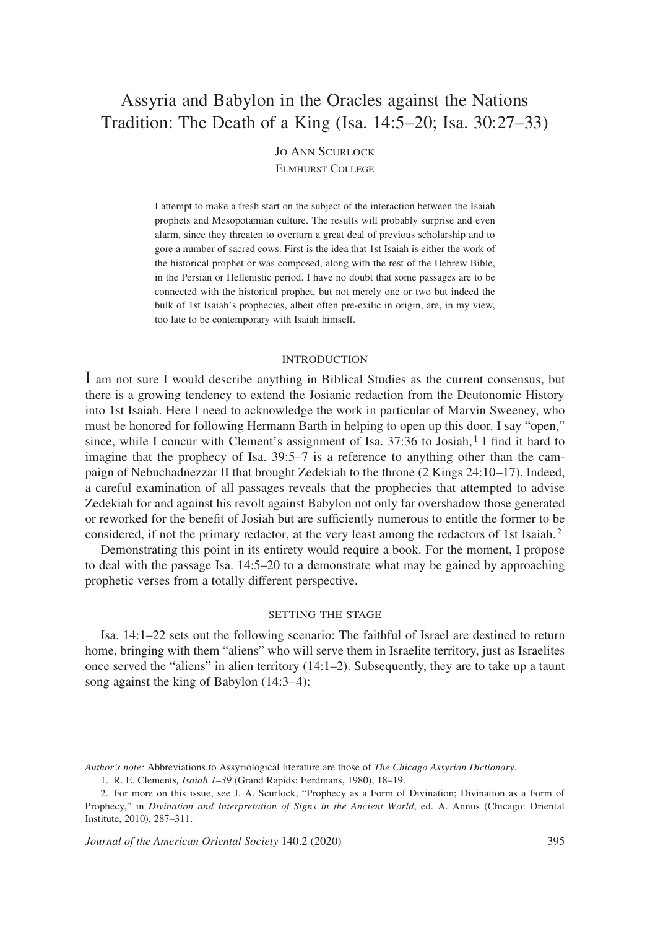# Assyria and Babylon in the Oracles against the Nations Tradition: The Death of a King (Isa. 14:5–20; Isa. 30:27–33)

## Jo Ann Scurlock Elmhurst College

I attempt to make a fresh start on the subject of the interaction between the Isaiah prophets and Mesopotamian culture. The results will probably surprise and even alarm, since they threaten to overturn a great deal of previous scholarship and to gore a number of sacred cows. First is the idea that 1st Isaiah is either the work of the historical prophet or was composed, along with the rest of the Hebrew Bible, in the Persian or Hellenistic period. I have no doubt that some passages are to be connected with the historical prophet, but not merely one or two but indeed the bulk of 1st Isaiah's prophecies, albeit often pre-exilic in origin, are, in my view, too late to be contemporary with Isaiah himself.

#### **INTRODUCTION**

I am not sure I would describe anything in Biblical Studies as the current consensus, but there is a growing tendency to extend the Josianic redaction from the Deutonomic History into 1st Isaiah. Here I need to acknowledge the work in particular of Marvin Sweeney, who must be honored for following Hermann Barth in helping to open up this door. I say "open," since, while I concur with Clement's assignment of Isa.  $37:36$  to Josiah,  $\frac{1}{1}$  find it hard to imagine that the prophecy of Isa. 39:5–7 is a reference to anything other than the campaign of Nebuchadnezzar II that brought Zedekiah to the throne (2 Kings 24:10–17). Indeed, a careful examination of all passages reveals that the prophecies that attempted to advise Zedekiah for and against his revolt against Babylon not only far overshadow those generated or reworked for the benefit of Josiah but are sufficiently numerous to entitle the former to be considered, if not the primary redactor, at the very least among the redactors of 1st Isaiah. <sup>2</sup>

Demonstrating this point in its entirety would require a book. For the moment, I propose to deal with the passage Isa. 14:5–20 to a demonstrate what may be gained by approaching prophetic verses from a totally different perspective.

## setting the stage

Isa. 14:1–22 sets out the following scenario: The faithful of Israel are destined to return home, bringing with them "aliens" who will serve them in Israelite territory, just as Israelites once served the "aliens" in alien territory (14:1–2). Subsequently, they are to take up a taunt song against the king of Babylon (14:3–4):

*Journal of the American Oriental Society* 140.2 (2020) 395

*Author's note:* Abbreviations to Assyriological literature are those of *The Chicago Assyrian Dictionary*.

<sup>1.</sup> R. E. Clements*, Isaiah 1–39* (Grand Rapids: Eerdmans, 1980), 18–19.

<sup>2.</sup> For more on this issue, see J. A. Scurlock, "Prophecy as a Form of Divination; Divination as a Form of Prophecy," in *Divination and Interpretation of Signs in the Ancient World*, ed. A. Annus (Chicago: Oriental Institute, 2010), 287–311.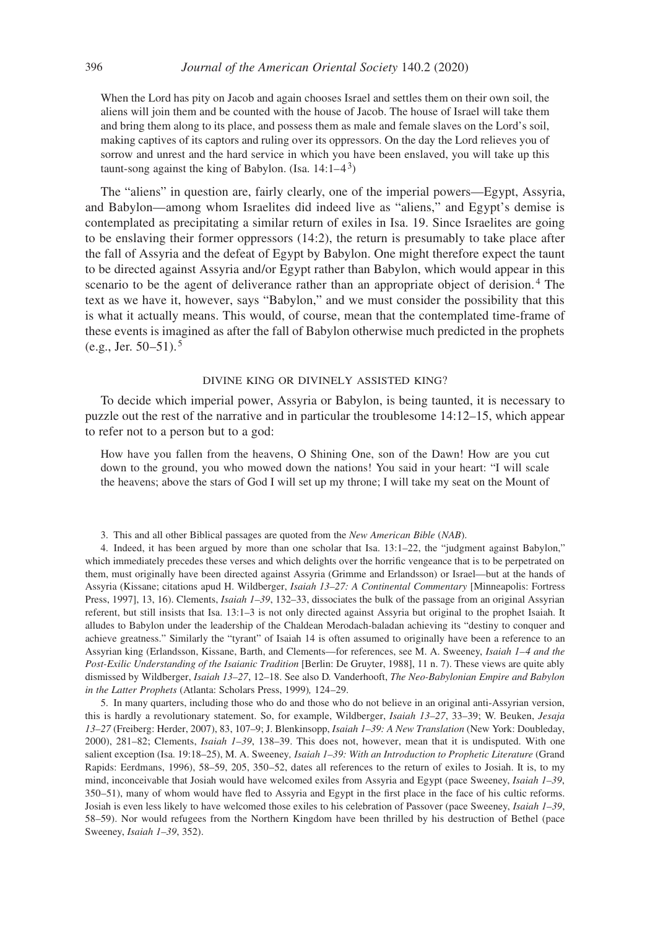When the Lord has pity on Jacob and again chooses Israel and settles them on their own soil, the aliens will join them and be counted with the house of Jacob. The house of Israel will take them and bring them along to its place, and possess them as male and female slaves on the Lord's soil, making captives of its captors and ruling over its oppressors. On the day the Lord relieves you of sorrow and unrest and the hard service in which you have been enslaved, you will take up this taunt-song against the king of Babylon. (Isa.  $14:1-4^3$ )

The "aliens" in question are, fairly clearly, one of the imperial powers—Egypt, Assyria, and Babylon—among whom Israelites did indeed live as "aliens," and Egypt's demise is contemplated as precipitating a similar return of exiles in Isa. 19. Since Israelites are going to be enslaving their former oppressors (14:2), the return is presumably to take place after the fall of Assyria and the defeat of Egypt by Babylon. One might therefore expect the taunt to be directed against Assyria and/or Egypt rather than Babylon, which would appear in this scenario to be the agent of deliverance rather than an appropriate object of derision. 4 The text as we have it, however, says "Babylon," and we must consider the possibility that this is what it actually means. This would, of course, mean that the contemplated time-frame of these events is imagined as after the fall of Babylon otherwise much predicted in the prophets (e.g., Jer. 50–51). <sup>5</sup>

### divine king or divinely assisted king?

To decide which imperial power, Assyria or Babylon, is being taunted, it is necessary to puzzle out the rest of the narrative and in particular the troublesome 14:12–15, which appear to refer not to a person but to a god:

How have you fallen from the heavens, O Shining One, son of the Dawn! How are you cut down to the ground, you who mowed down the nations! You said in your heart: "I will scale the heavens; above the stars of God I will set up my throne; I will take my seat on the Mount of

3. This and all other Biblical passages are quoted from the *New American Bible* (*NAB*).

4. Indeed, it has been argued by more than one scholar that Isa. 13:1–22, the "judgment against Babylon," which immediately precedes these verses and which delights over the horrific vengeance that is to be perpetrated on them, must originally have been directed against Assyria (Grimme and Erlandsson) or Israel—but at the hands of Assyria (Kissane; citations apud H. Wildberger, *Isaiah 13–27: A Continental Commentary* [Minneapolis: Fortress Press, 1997], 13, 16). Clements, *Isaiah 1–39*, 132–33, dissociates the bulk of the passage from an original Assyrian referent, but still insists that Isa. 13:1–3 is not only directed against Assyria but original to the prophet Isaiah. It alludes to Babylon under the leadership of the Chaldean Merodach-baladan achieving its "destiny to conquer and achieve greatness." Similarly the "tyrant" of Isaiah 14 is often assumed to originally have been a reference to an Assyrian king (Erlandsson, Kissane, Barth, and Clements—for references, see M. A. Sweeney, *Isaiah 1–4 and the Post-Exilic Understanding of the Isaianic Tradition* [Berlin: De Gruyter, 1988], 11 n. 7). These views are quite ably dismissed by Wildberger, *Isaiah 13–27*, 12–18. See also D. Vanderhooft, *The Neo-Babylonian Empire and Babylon in the Latter Prophets* (Atlanta: Scholars Press, 1999)*,* 124–29.

5. In many quarters, including those who do and those who do not believe in an original anti-Assyrian version, this is hardly a revolutionary statement. So, for example, Wildberger, *Isaiah 13–27*, 33–39; W. Beuken, *Jesaja 13–27* (Freiberg: Herder, 2007), 83, 107–9; J. Blenkinsopp, *Isaiah 1–39: A New Translation* (New York: Doubleday, 2000), 281–82; Clements, *Isaiah 1–39*, 138–39. This does not, however, mean that it is undisputed. With one salient exception (Isa. 19:18–25), M. A. Sweeney*, Isaiah 1–39: With an Introduction to Prophetic Literature* (Grand Rapids: Eerdmans, 1996), 58–59, 205, 350–52, dates all references to the return of exiles to Josiah. It is, to my mind, inconceivable that Josiah would have welcomed exiles from Assyria and Egypt (pace Sweeney, *Isaiah 1–39*, 350–51), many of whom would have fled to Assyria and Egypt in the first place in the face of his cultic reforms. Josiah is even less likely to have welcomed those exiles to his celebration of Passover (pace Sweeney, *Isaiah 1–39*, 58–59). Nor would refugees from the Northern Kingdom have been thrilled by his destruction of Bethel (pace Sweeney, *Isaiah 1–39*, 352).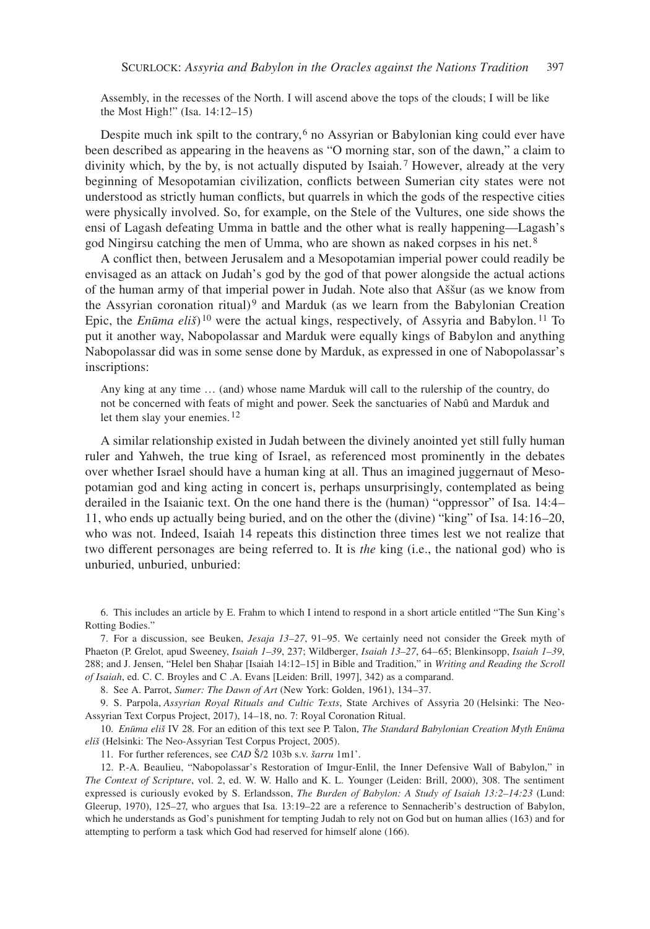Assembly, in the recesses of the North. I will ascend above the tops of the clouds; I will be like the Most High!" (Isa. 14:12–15)

Despite much ink spilt to the contrary, 6 no Assyrian or Babylonian king could ever have been described as appearing in the heavens as "O morning star, son of the dawn," a claim to divinity which, by the by, is not actually disputed by Isaiah. 7 However, already at the very beginning of Mesopotamian civilization, conflicts between Sumerian city states were not understood as strictly human conflicts, but quarrels in which the gods of the respective cities were physically involved. So, for example, on the Stele of the Vultures, one side shows the ensi of Lagash defeating Umma in battle and the other what is really happening—Lagash's god Ningirsu catching the men of Umma, who are shown as naked corpses in his net. <sup>8</sup>

A conflict then, between Jerusalem and a Mesopotamian imperial power could readily be envisaged as an attack on Judah's god by the god of that power alongside the actual actions of the human army of that imperial power in Judah. Note also that Aššur (as we know from the Assyrian coronation ritual)<sup>9</sup> and Marduk (as we learn from the Babylonian Creation Epic, the *Enūma eliš*)<sup>10</sup> were the actual kings, respectively, of Assyria and Babylon.<sup>11</sup> To put it another way, Nabopolassar and Marduk were equally kings of Babylon and anything Nabopolassar did was in some sense done by Marduk, as expressed in one of Nabopolassar's inscriptions:

Any king at any time … (and) whose name Marduk will call to the rulership of the country, do not be concerned with feats of might and power. Seek the sanctuaries of Nabû and Marduk and let them slay your enemies.<sup>12</sup>

A similar relationship existed in Judah between the divinely anointed yet still fully human ruler and Yahweh, the true king of Israel, as referenced most prominently in the debates over whether Israel should have a human king at all. Thus an imagined juggernaut of Mesopotamian god and king acting in concert is, perhaps unsurprisingly, contemplated as being derailed in the Isaianic text. On the one hand there is the (human) "oppressor" of Isa. 14:4– 11, who ends up actually being buried, and on the other the (divine) "king" of Isa. 14:16–20, who was not. Indeed, Isaiah 14 repeats this distinction three times lest we not realize that two different personages are being referred to. It is *the* king (i.e., the national god) who is unburied, unburied, unburied:

6. This includes an article by E. Frahm to which I intend to respond in a short article entitled "The Sun King's Rotting Bodies."

7. For a discussion, see Beuken, *Jesaja 13–27*, 91–95. We certainly need not consider the Greek myth of Phaeton (P. Grelot, apud Sweeney, *Isaiah 1–39*, 237; Wildberger, *Isaiah 13–27*, 64–65; Blenkinsopp, *Isaiah 1–39*, 288; and J. Jensen, "Helel ben Shaḥar [Isaiah 14:12–15] in Bible and Tradition," in *Writing and Reading the Scroll of Isaiah*, ed. C. C. Broyles and C .A. Evans [Leiden: Brill, 1997], 342) as a comparand.

8. See A. Parrot, *Sumer: The Dawn of Art* (New York: Golden, 1961), 134–37.

9. S. Parpola, *Assyrian Royal Rituals and Cultic Texts*, State Archives of Assyria 20 (Helsinki: The Neo-Assyrian Text Corpus Project, 2017), 14–18, no. 7: Royal Coronation Ritual.

10. *Enūma eliš* IV 28*.* For an edition of this text see P. Talon, *The Standard Babylonian Creation Myth Enūma eliš* (Helsinki: The Neo-Assyrian Test Corpus Project, 2005).

11. For further references, see *CAD* Š/2 103b s.v. *šarru* 1m1'.

12. P.-A. Beaulieu, "Nabopolassar's Restoration of Imgur-Enlil, the Inner Defensive Wall of Babylon," in *The Context of Scripture*, vol. 2, ed. W. W. Hallo and K. L. Younger (Leiden: Brill, 2000), 308. The sentiment expressed is curiously evoked by S. Erlandsson, *The Burden of Babylon: A Study of Isaiah 13:2–14:23* (Lund: Gleerup, 1970), 125–27, who argues that Isa. 13:19–22 are a reference to Sennacherib's destruction of Babylon, which he understands as God's punishment for tempting Judah to rely not on God but on human allies (163) and for attempting to perform a task which God had reserved for himself alone (166).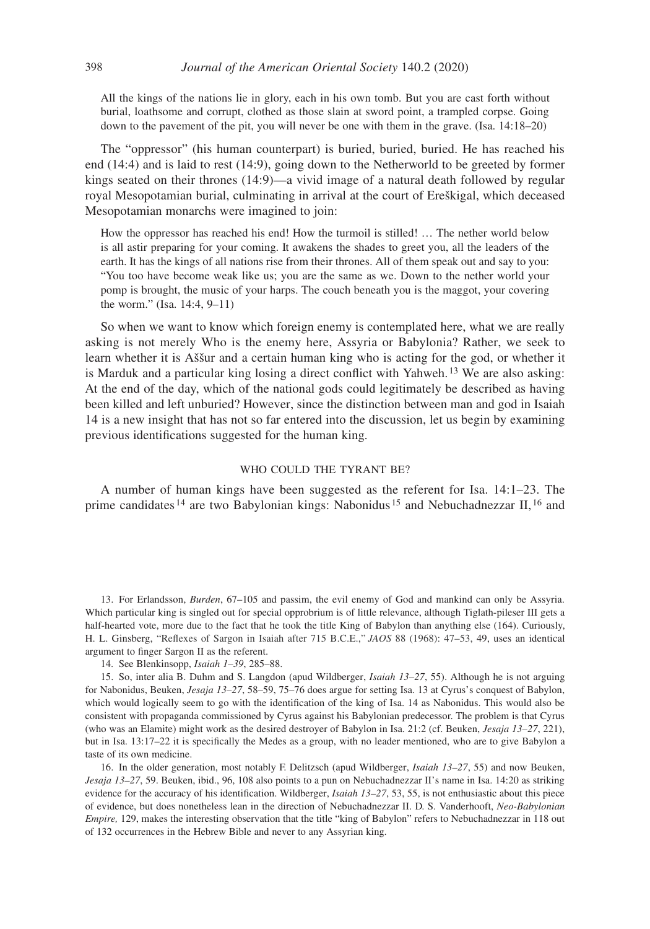All the kings of the nations lie in glory, each in his own tomb. But you are cast forth without burial, loathsome and corrupt, clothed as those slain at sword point, a trampled corpse. Going down to the pavement of the pit, you will never be one with them in the grave. (Isa. 14:18–20)

The "oppressor" (his human counterpart) is buried, buried, buried. He has reached his end (14:4) and is laid to rest (14:9), going down to the Netherworld to be greeted by former kings seated on their thrones (14:9)—a vivid image of a natural death followed by regular royal Mesopotamian burial, culminating in arrival at the court of Ereškigal, which deceased Mesopotamian monarchs were imagined to join:

How the oppressor has reached his end! How the turmoil is stilled! … The nether world below is all astir preparing for your coming. It awakens the shades to greet you, all the leaders of the earth. It has the kings of all nations rise from their thrones. All of them speak out and say to you: "You too have become weak like us; you are the same as we. Down to the nether world your pomp is brought, the music of your harps. The couch beneath you is the maggot, your covering the worm." (Isa. 14:4, 9–11)

So when we want to know which foreign enemy is contemplated here, what we are really asking is not merely Who is the enemy here, Assyria or Babylonia? Rather, we seek to learn whether it is Aššur and a certain human king who is acting for the god, or whether it is Marduk and a particular king losing a direct conflict with Yahweh. 13 We are also asking: At the end of the day, which of the national gods could legitimately be described as having been killed and left unburied? However, since the distinction between man and god in Isaiah 14 is a new insight that has not so far entered into the discussion, let us begin by examining previous identifications suggested for the human king.

## WHO COULD THE TYRANT BE?

A number of human kings have been suggested as the referent for Isa. 14:1–23. The prime candidates <sup>14</sup> are two Babylonian kings: Nabonidus <sup>15</sup> and Nebuchadnezzar II, <sup>16</sup> and

13. For Erlandsson, *Burden*, 67–105 and passim, the evil enemy of God and mankind can only be Assyria. Which particular king is singled out for special opprobrium is of little relevance, although Tiglath-pileser III gets a half-hearted vote, more due to the fact that he took the title King of Babylon than anything else (164). Curiously, H. L. Ginsberg, "Reflexes of Sargon in Isaiah after 715 B.C.E.," *JAOS* 88 (1968): 47–53, 49, uses an identical argument to finger Sargon II as the referent.

14. See Blenkinsopp, *Isaiah 1–39*, 285–88.

15. So, inter alia B. Duhm and S. Langdon (apud Wildberger, *Isaiah 13–27*, 55). Although he is not arguing for Nabonidus, Beuken, *Jesaja 13–27*, 58–59, 75–76 does argue for setting Isa. 13 at Cyrus's conquest of Babylon, which would logically seem to go with the identification of the king of Isa. 14 as Nabonidus. This would also be consistent with propaganda commissioned by Cyrus against his Babylonian predecessor. The problem is that Cyrus (who was an Elamite) might work as the desired destroyer of Babylon in Isa. 21:2 (cf. Beuken, *Jesaja 13–27*, 221), but in Isa. 13:17–22 it is specifically the Medes as a group, with no leader mentioned, who are to give Babylon a taste of its own medicine.

16. In the older generation, most notably F. Delitzsch (apud Wildberger, *Isaiah 13–27*, 55) and now Beuken, *Jesaja 13–27*, 59. Beuken, ibid., 96, 108 also points to a pun on Nebuchadnezzar II's name in Isa. 14:20 as striking evidence for the accuracy of his identification. Wildberger, *Isaiah 13–27*, 53, 55, is not enthusiastic about this piece of evidence, but does nonetheless lean in the direction of Nebuchadnezzar II. D. S. Vanderhooft, *Neo-Babylonian Empire,* 129, makes the interesting observation that the title "king of Babylon" refers to Nebuchadnezzar in 118 out of 132 occurrences in the Hebrew Bible and never to any Assyrian king.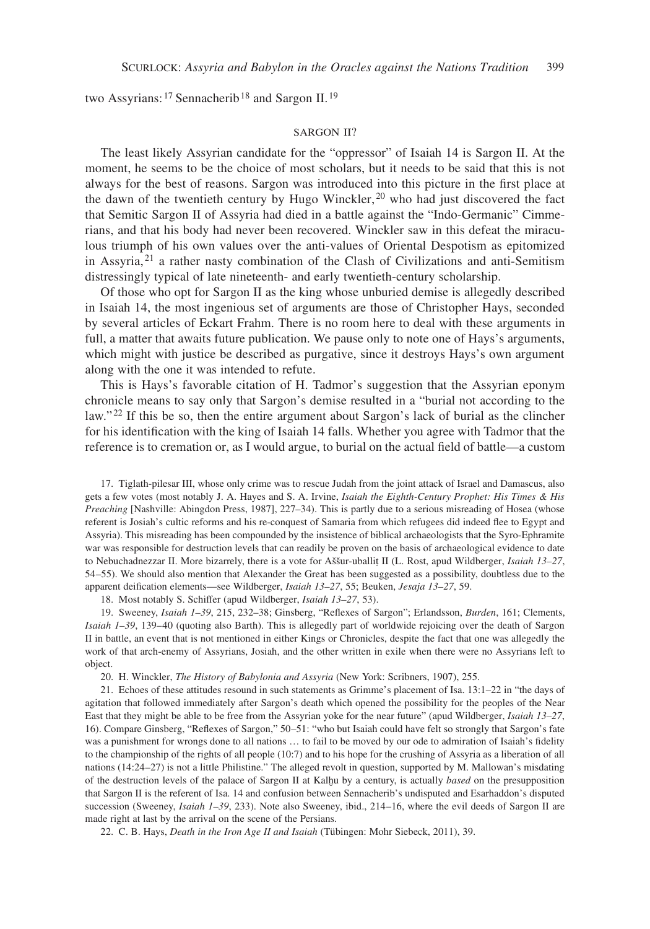two Assyrians: <sup>17</sup> Sennacherib<sup>18</sup> and Sargon II.<sup>19</sup>

#### SARGON II?

The least likely Assyrian candidate for the "oppressor" of Isaiah 14 is Sargon II. At the moment, he seems to be the choice of most scholars, but it needs to be said that this is not always for the best of reasons. Sargon was introduced into this picture in the first place at the dawn of the twentieth century by Hugo Winckler,  $20$  who had just discovered the fact that Semitic Sargon II of Assyria had died in a battle against the "Indo-Germanic" Cimmerians, and that his body had never been recovered. Winckler saw in this defeat the miraculous triumph of his own values over the anti-values of Oriental Despotism as epitomized in Assyria, 21 a rather nasty combination of the Clash of Civilizations and anti-Semitism distressingly typical of late nineteenth- and early twentieth-century scholarship.

Of those who opt for Sargon II as the king whose unburied demise is allegedly described in Isaiah 14, the most ingenious set of arguments are those of Christopher Hays, seconded by several articles of Eckart Frahm. There is no room here to deal with these arguments in full, a matter that awaits future publication. We pause only to note one of Hays's arguments, which might with justice be described as purgative, since it destroys Hays's own argument along with the one it was intended to refute.

This is Hays's favorable citation of H. Tadmor's suggestion that the Assyrian eponym chronicle means to say only that Sargon's demise resulted in a "burial not according to the law."<sup>22</sup> If this be so, then the entire argument about Sargon's lack of burial as the clincher for his identification with the king of Isaiah 14 falls. Whether you agree with Tadmor that the reference is to cremation or, as I would argue, to burial on the actual field of battle—a custom

17. Tiglath-pilesar III, whose only crime was to rescue Judah from the joint attack of Israel and Damascus, also gets a few votes (most notably J. A. Hayes and S. A. Irvine, *Isaiah the Eighth-Century Prophet: His Times & His Preaching* [Nashville: Abingdon Press, 1987], 227–34). This is partly due to a serious misreading of Hosea (whose referent is Josiah's cultic reforms and his re-conquest of Samaria from which refugees did indeed flee to Egypt and Assyria). This misreading has been compounded by the insistence of biblical archaeologists that the Syro-Ephramite war was responsible for destruction levels that can readily be proven on the basis of archaeological evidence to date to Nebuchadnezzar II. More bizarrely, there is a vote for Aššur-uballiṭ II (L. Rost, apud Wildberger, *Isaiah 13–27*, 54–55). We should also mention that Alexander the Great has been suggested as a possibility, doubtless due to the apparent deification elements—see Wildberger, *Isaiah 13–27*, 55; Beuken, *Jesaja 13–27*, 59.

18. Most notably S. Schiffer (apud Wildberger, *Isaiah 13–27*, 53).

19. Sweeney, *Isaiah 1–39*, 215, 232–38; Ginsberg, "Reflexes of Sargon"; Erlandsson, *Burden*, 161; Clements, *Isaiah 1–39*, 139–40 (quoting also Barth). This is allegedly part of worldwide rejoicing over the death of Sargon II in battle, an event that is not mentioned in either Kings or Chronicles, despite the fact that one was allegedly the work of that arch-enemy of Assyrians, Josiah, and the other written in exile when there were no Assyrians left to object.

20. H. Winckler, *The History of Babylonia and Assyria* (New York: Scribners, 1907), 255.

21. Echoes of these attitudes resound in such statements as Grimme's placement of Isa. 13:1–22 in "the days of agitation that followed immediately after Sargon's death which opened the possibility for the peoples of the Near East that they might be able to be free from the Assyrian yoke for the near future" (apud Wildberger, *Isaiah 13–27*, 16). Compare Ginsberg, "Reflexes of Sargon," 50–51: "who but Isaiah could have felt so strongly that Sargon's fate was a punishment for wrongs done to all nations ... to fail to be moved by our ode to admiration of Isaiah's fidelity to the championship of the rights of all people (10:7) and to his hope for the crushing of Assyria as a liberation of all nations (14:24–27) is not a little Philistine." The alleged revolt in question, supported by M. Mallowan's misdating of the destruction levels of the palace of Sargon II at Kalḫu by a century, is actually *based* on the presupposition that Sargon II is the referent of Isa. 14 and confusion between Sennacherib's undisputed and Esarhaddon's disputed succession (Sweeney, *Isaiah 1–39*, 233). Note also Sweeney, ibid., 214–16, where the evil deeds of Sargon II are made right at last by the arrival on the scene of the Persians.

22. C. B. Hays, *Death in the Iron Age II and Isaiah* (Tübingen: Mohr Siebeck, 2011), 39.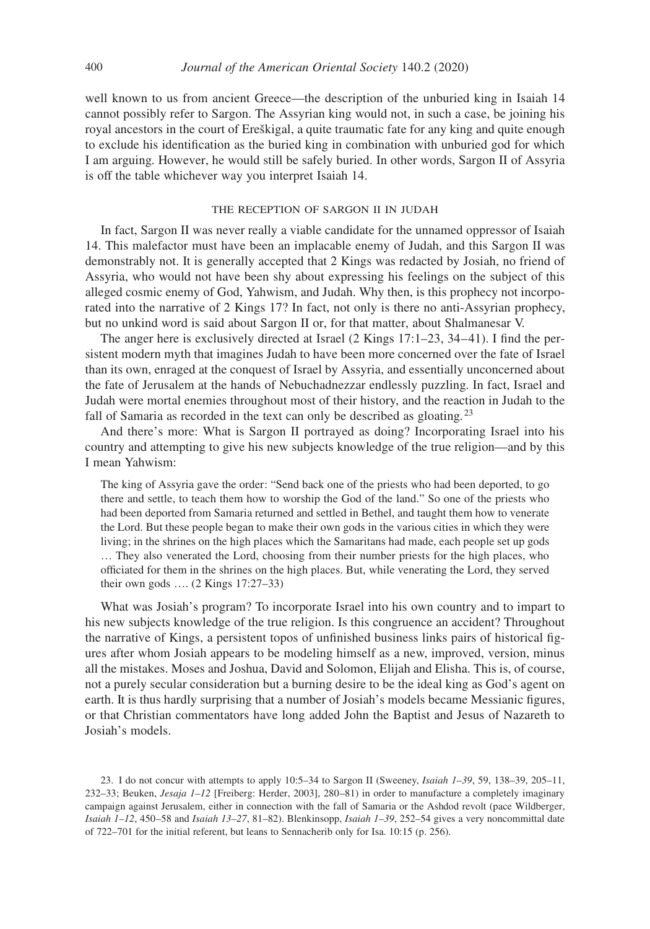well known to us from ancient Greece—the description of the unburied king in Isaiah 14 cannot possibly refer to Sargon. The Assyrian king would not, in such a case, be joining his royal ancestors in the court of Ereškigal, a quite traumatic fate for any king and quite enough to exclude his identification as the buried king in combination with unburied god for which I am arguing. However, he would still be safely buried. In other words, Sargon II of Assyria is off the table whichever way you interpret Isaiah 14.

## the reception of sargon ii in judah

In fact, Sargon II was never really a viable candidate for the unnamed oppressor of Isaiah 14. This malefactor must have been an implacable enemy of Judah, and this Sargon II was demonstrably not. It is generally accepted that 2 Kings was redacted by Josiah, no friend of Assyria, who would not have been shy about expressing his feelings on the subject of this alleged cosmic enemy of God, Yahwism, and Judah. Why then, is this prophecy not incorporated into the narrative of 2 Kings 17? In fact, not only is there no anti-Assyrian prophecy, but no unkind word is said about Sargon II or, for that matter, about Shalmanesar V.

The anger here is exclusively directed at Israel (2 Kings 17:1–23, 34–41). I find the persistent modern myth that imagines Judah to have been more concerned over the fate of Israel than its own, enraged at the conquest of Israel by Assyria, and essentially unconcerned about the fate of Jerusalem at the hands of Nebuchadnezzar endlessly puzzling. In fact, Israel and Judah were mortal enemies throughout most of their history, and the reaction in Judah to the fall of Samaria as recorded in the text can only be described as gloating.<sup>23</sup>

And there's more: What is Sargon II portrayed as doing? Incorporating Israel into his country and attempting to give his new subjects knowledge of the true religion—and by this I mean Yahwism:

The king of Assyria gave the order: "Send back one of the priests who had been deported, to go there and settle, to teach them how to worship the God of the land." So one of the priests who had been deported from Samaria returned and settled in Bethel, and taught them how to venerate the Lord. But these people began to make their own gods in the various cities in which they were living; in the shrines on the high places which the Samaritans had made, each people set up gods … They also venerated the Lord, choosing from their number priests for the high places, who officiated for them in the shrines on the high places. But, while venerating the Lord, they served their own gods …. (2 Kings 17:27–33)

What was Josiah's program? To incorporate Israel into his own country and to impart to his new subjects knowledge of the true religion. Is this congruence an accident? Throughout the narrative of Kings, a persistent topos of unfinished business links pairs of historical figures after whom Josiah appears to be modeling himself as a new, improved, version, minus all the mistakes. Moses and Joshua, David and Solomon, Elijah and Elisha. This is, of course, not a purely secular consideration but a burning desire to be the ideal king as God's agent on earth. It is thus hardly surprising that a number of Josiah's models became Messianic figures, or that Christian commentators have long added John the Baptist and Jesus of Nazareth to Josiah's models.

23. I do not concur with attempts to apply 10:5–34 to Sargon II (Sweeney, *Isaiah 1–39*, 59, 138–39, 205–11, 232–33; Beuken, *Jesaja 1–12* [Freiberg: Herder, 2003], 280–81) in order to manufacture a completely imaginary campaign against Jerusalem, either in connection with the fall of Samaria or the Ashdod revolt (pace Wildberger, *Isaiah 1–12*, 450–58 and *Isaiah 13–27*, 81–82). Blenkinsopp, *Isaiah 1–39*, 252–54 gives a very noncommittal date of 722–701 for the initial referent, but leans to Sennacherib only for Isa. 10:15 (p. 256).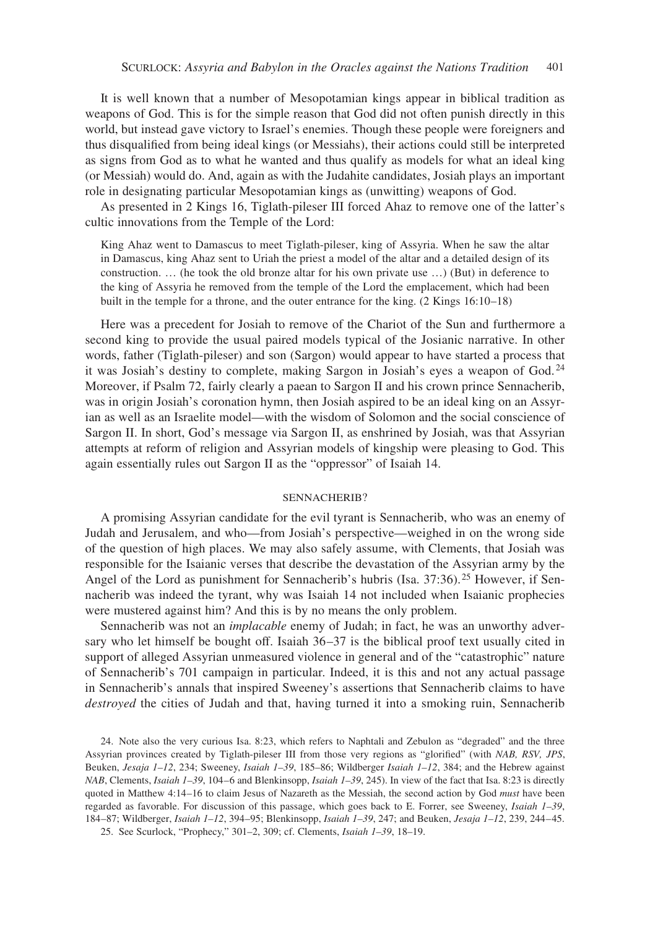It is well known that a number of Mesopotamian kings appear in biblical tradition as weapons of God. This is for the simple reason that God did not often punish directly in this world, but instead gave victory to Israel's enemies. Though these people were foreigners and thus disqualified from being ideal kings (or Messiahs), their actions could still be interpreted as signs from God as to what he wanted and thus qualify as models for what an ideal king (or Messiah) would do. And, again as with the Judahite candidates, Josiah plays an important role in designating particular Mesopotamian kings as (unwitting) weapons of God.

As presented in 2 Kings 16, Tiglath-pileser III forced Ahaz to remove one of the latter's cultic innovations from the Temple of the Lord:

King Ahaz went to Damascus to meet Tiglath-pileser, king of Assyria. When he saw the altar in Damascus, king Ahaz sent to Uriah the priest a model of the altar and a detailed design of its construction. … (he took the old bronze altar for his own private use …) (But) in deference to the king of Assyria he removed from the temple of the Lord the emplacement, which had been built in the temple for a throne, and the outer entrance for the king. (2 Kings 16:10–18)

Here was a precedent for Josiah to remove of the Chariot of the Sun and furthermore a second king to provide the usual paired models typical of the Josianic narrative. In other words, father (Tiglath-pileser) and son (Sargon) would appear to have started a process that it was Josiah's destiny to complete, making Sargon in Josiah's eyes a weapon of God. <sup>24</sup> Moreover, if Psalm 72, fairly clearly a paean to Sargon II and his crown prince Sennacherib, was in origin Josiah's coronation hymn, then Josiah aspired to be an ideal king on an Assyrian as well as an Israelite model—with the wisdom of Solomon and the social conscience of Sargon II. In short, God's message via Sargon II, as enshrined by Josiah, was that Assyrian attempts at reform of religion and Assyrian models of kingship were pleasing to God. This again essentially rules out Sargon II as the "oppressor" of Isaiah 14.

## sennacherib?

A promising Assyrian candidate for the evil tyrant is Sennacherib, who was an enemy of Judah and Jerusalem, and who—from Josiah's perspective—weighed in on the wrong side of the question of high places. We may also safely assume, with Clements, that Josiah was responsible for the Isaianic verses that describe the devastation of the Assyrian army by the Angel of the Lord as punishment for Sennacherib's hubris (Isa. 37:36).<sup>25</sup> However, if Sennacherib was indeed the tyrant, why was Isaiah 14 not included when Isaianic prophecies were mustered against him? And this is by no means the only problem.

Sennacherib was not an *implacable* enemy of Judah; in fact, he was an unworthy adversary who let himself be bought off. Isaiah 36–37 is the biblical proof text usually cited in support of alleged Assyrian unmeasured violence in general and of the "catastrophic" nature of Sennacherib's 701 campaign in particular. Indeed, it is this and not any actual passage in Sennacherib's annals that inspired Sweeney's assertions that Sennacherib claims to have *destroyed* the cities of Judah and that, having turned it into a smoking ruin, Sennacherib

<sup>24.</sup> Note also the very curious Isa. 8:23, which refers to Naphtali and Zebulon as "degraded" and the three Assyrian provinces created by Tiglath-pileser III from those very regions as "glorified" (with *NAB, RSV, JPS*, Beuken, *Jesaja 1–12*, 234; Sweeney, *Isaiah 1–39*, 185–86; Wildberger *Isaiah 1–12*, 384; and the Hebrew against *NAB*, Clements, *Isaiah 1–39*, 104–6 and Blenkinsopp, *Isaiah 1–39*, 245). In view of the fact that Isa. 8:23 is directly quoted in Matthew 4:14–16 to claim Jesus of Nazareth as the Messiah, the second action by God *must* have been regarded as favorable. For discussion of this passage, which goes back to E. Forrer, see Sweeney, *Isaiah 1–39*, 184–87; Wildberger, *Isaiah 1–12*, 394–95; Blenkinsopp, *Isaiah 1–39*, 247; and Beuken, *Jesaja 1–12*, 239, 244–45. 25. See Scurlock, "Prophecy," 301–2, 309; cf. Clements, *Isaiah 1–39*, 18–19.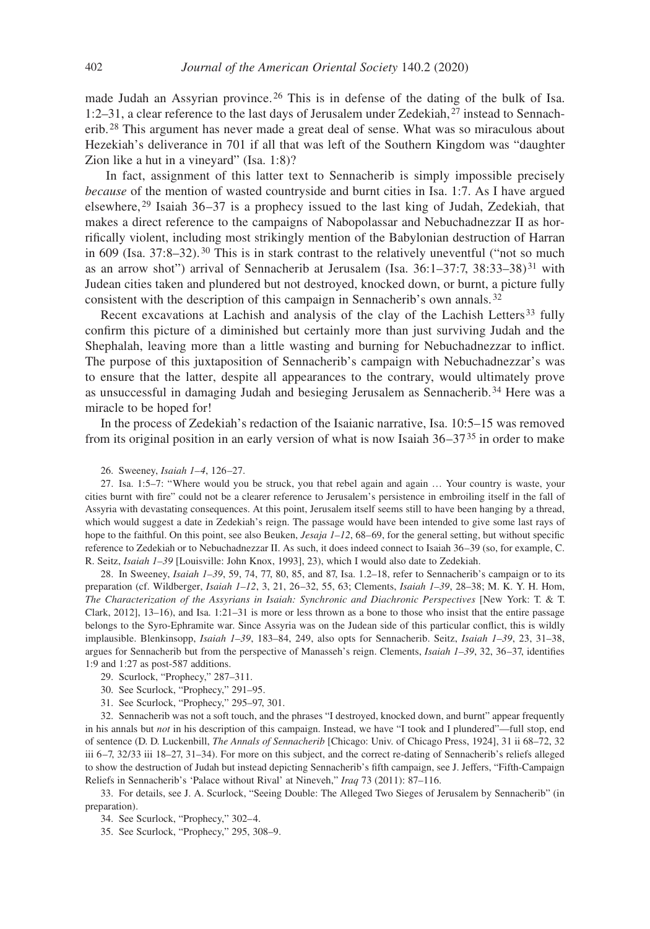made Judah an Assyrian province. 26 This is in defense of the dating of the bulk of Isa. 1:2–31, a clear reference to the last days of Jerusalem under Zedekiah, 27 instead to Sennacherib. 28 This argument has never made a great deal of sense. What was so miraculous about Hezekiah's deliverance in 701 if all that was left of the Southern Kingdom was "daughter Zion like a hut in a vineyard" (Isa. 1:8)?

 In fact, assignment of this latter text to Sennacherib is simply impossible precisely *because* of the mention of wasted countryside and burnt cities in Isa. 1:7. As I have argued elsewhere, 29 Isaiah 36–37 is a prophecy issued to the last king of Judah, Zedekiah, that makes a direct reference to the campaigns of Nabopolassar and Nebuchadnezzar II as horrifically violent, including most strikingly mention of the Babylonian destruction of Harran in 609 (Isa. 37:8–32). 30 This is in stark contrast to the relatively uneventful ("not so much as an arrow shot") arrival of Sennacherib at Jerusalem (Isa.  $36:1-37:7$ ,  $38:33-38$ )<sup>31</sup> with Judean cities taken and plundered but not destroyed, knocked down, or burnt, a picture fully consistent with the description of this campaign in Sennacherib's own annals. <sup>32</sup>

Recent excavations at Lachish and analysis of the clay of the Lachish Letters<sup>33</sup> fully confirm this picture of a diminished but certainly more than just surviving Judah and the Shephalah, leaving more than a little wasting and burning for Nebuchadnezzar to inflict. The purpose of this juxtaposition of Sennacherib's campaign with Nebuchadnezzar's was to ensure that the latter, despite all appearances to the contrary, would ultimately prove as unsuccessful in damaging Judah and besieging Jerusalem as Sennacherib.34 Here was a miracle to be hoped for!

In the process of Zedekiah's redaction of the Isaianic narrative, Isa. 10:5–15 was removed from its original position in an early version of what is now Isaiah  $36-37<sup>35</sup>$  in order to make

26. Sweeney, *Isaiah 1–4*, 126–27.

27. Isa. 1:5–7: "Where would you be struck, you that rebel again and again … Your country is waste, your cities burnt with fire" could not be a clearer reference to Jerusalem's persistence in embroiling itself in the fall of Assyria with devastating consequences. At this point, Jerusalem itself seems still to have been hanging by a thread, which would suggest a date in Zedekiah's reign. The passage would have been intended to give some last rays of hope to the faithful. On this point, see also Beuken, *Jesaja 1–12*, 68–69, for the general setting, but without specific reference to Zedekiah or to Nebuchadnezzar II. As such, it does indeed connect to Isaiah 36–39 (so, for example, C. R. Seitz, *Isaiah 1–39* [Louisville: John Knox, 1993], 23), which I would also date to Zedekiah.

28. In Sweeney, *Isaiah 1–39*, 59, 74, 77, 80, 85, and 87, Isa. 1.2–18, refer to Sennacherib's campaign or to its preparation (cf. Wildberger, *Isaiah 1–12*, 3, 21, 26–32, 55, 63; Clements, *Isaiah 1–39*, 28–38; M. K. Y. H. Hom, *The Characterization of the Assyrians in Isaiah: Synchronic and Diachronic Perspectives* [New York: T. & T. Clark, 2012], 13–16), and Isa. 1:21–31 is more or less thrown as a bone to those who insist that the entire passage belongs to the Syro-Ephramite war. Since Assyria was on the Judean side of this particular conflict, this is wildly implausible. Blenkinsopp, *Isaiah 1–39*, 183–84, 249, also opts for Sennacherib. Seitz, *Isaiah 1–39*, 23, 31–38, argues for Sennacherib but from the perspective of Manasseh's reign. Clements, *Isaiah 1–39*, 32, 36–37, identifies 1:9 and 1:27 as post-587 additions.

29. Scurlock, "Prophecy," 287–311.

- 30. See Scurlock, "Prophecy," 291–95.
- 31. See Scurlock, "Prophecy," 295–97, 301.

32. Sennacherib was not a soft touch, and the phrases "I destroyed, knocked down, and burnt" appear frequently in his annals but *not* in his description of this campaign. Instead, we have "I took and I plundered"—full stop, end of sentence (D. D. Luckenbill, *The Annals of Sennacherib* [Chicago: Univ. of Chicago Press, 1924], 31 ii 68–72, 32 iii 6–7, 32/33 iii 18–27, 31–34). For more on this subject, and the correct re-dating of Sennacherib's reliefs alleged to show the destruction of Judah but instead depicting Sennacherib's fifth campaign, see J. Jeffers, "Fifth-Campaign Reliefs in Sennacherib's 'Palace without Rival' at Nineveh," *Iraq* 73 (2011): 87–116.

33. For details, see J. A. Scurlock, "Seeing Double: The Alleged Two Sieges of Jerusalem by Sennacherib" (in preparation).

34. See Scurlock, "Prophecy," 302–4.

35. See Scurlock, "Prophecy," 295, 308–9.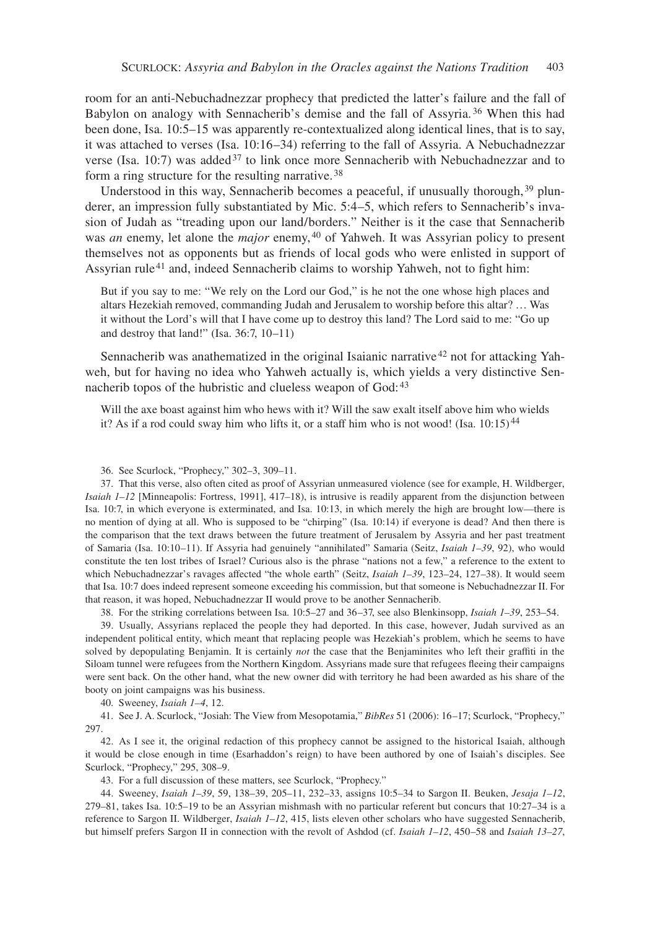room for an anti-Nebuchadnezzar prophecy that predicted the latter's failure and the fall of Babylon on analogy with Sennacherib's demise and the fall of Assyria. 36 When this had been done, Isa. 10:5–15 was apparently re-contextualized along identical lines, that is to say, it was attached to verses (Isa. 10:16–34) referring to the fall of Assyria. A Nebuchadnezzar verse (Isa. 10:7) was added<sup>37</sup> to link once more Sennacherib with Nebuchadnezzar and to form a ring structure for the resulting narrative. <sup>38</sup>

Understood in this way, Sennacherib becomes a peaceful, if unusually thorough,  $39$  plunderer, an impression fully substantiated by Mic. 5:4–5, which refers to Sennacherib's invasion of Judah as "treading upon our land/borders." Neither is it the case that Sennacherib was *an* enemy, let alone the *major* enemy, 40 of Yahweh. It was Assyrian policy to present themselves not as opponents but as friends of local gods who were enlisted in support of Assyrian rule<sup>41</sup> and, indeed Sennacherib claims to worship Yahweh, not to fight him:

But if you say to me: "We rely on the Lord our God," is he not the one whose high places and altars Hezekiah removed, commanding Judah and Jerusalem to worship before this altar? … Was it without the Lord's will that I have come up to destroy this land? The Lord said to me: "Go up and destroy that land!" (Isa. 36:7, 10–11)

Sennacherib was anathematized in the original Isaianic narrative<sup>42</sup> not for attacking Yahweh, but for having no idea who Yahweh actually is, which yields a very distinctive Sennacherib topos of the hubristic and clueless weapon of God:  $43$ 

Will the axe boast against him who hews with it? Will the saw exalt itself above him who wields it? As if a rod could sway him who lifts it, or a staff him who is not wood! (Isa.  $10:15$ )<sup>44</sup>

37. That this verse, also often cited as proof of Assyrian unmeasured violence (see for example, H. Wildberger, *Isaiah 1–12* [Minneapolis: Fortress, 1991], 417–18), is intrusive is readily apparent from the disjunction between Isa. 10:7, in which everyone is exterminated, and Isa. 10:13, in which merely the high are brought low—there is no mention of dying at all. Who is supposed to be "chirping" (Isa. 10:14) if everyone is dead? And then there is the comparison that the text draws between the future treatment of Jerusalem by Assyria and her past treatment of Samaria (Isa. 10:10–11). If Assyria had genuinely "annihilated" Samaria (Seitz, *Isaiah 1–39*, 92), who would constitute the ten lost tribes of Israel? Curious also is the phrase "nations not a few," a reference to the extent to which Nebuchadnezzar's ravages affected "the whole earth" (Seitz, *Isaiah 1–39*, 123–24, 127–38). It would seem that Isa. 10:7 does indeed represent someone exceeding his commission, but that someone is Nebuchadnezzar II. For that reason, it was hoped, Nebuchadnezzar II would prove to be another Sennacherib.

38. For the striking correlations between Isa. 10:5–27 and 36–37, see also Blenkinsopp, *Isaiah 1–39*, 253–54.

39. Usually, Assyrians replaced the people they had deported. In this case, however, Judah survived as an independent political entity, which meant that replacing people was Hezekiah's problem, which he seems to have solved by depopulating Benjamin. It is certainly *not* the case that the Benjaminites who left their graffiti in the Siloam tunnel were refugees from the Northern Kingdom. Assyrians made sure that refugees fleeing their campaigns were sent back. On the other hand, what the new owner did with territory he had been awarded as his share of the booty on joint campaigns was his business.

40. Sweeney, *Isaiah 1–4*, 12.

41. See J. A. Scurlock, "Josiah: The View from Mesopotamia," *BibRes* 51 (2006): 16–17; Scurlock, "Prophecy," 297.

42. As I see it, the original redaction of this prophecy cannot be assigned to the historical Isaiah, although it would be close enough in time (Esarhaddon's reign) to have been authored by one of Isaiah's disciples. See Scurlock, "Prophecy," 295, 308–9.

43. For a full discussion of these matters, see Scurlock, "Prophecy."

44. Sweeney, *Isaiah 1–39*, 59, 138–39, 205–11, 232–33, assigns 10:5–34 to Sargon II. Beuken, *Jesaja 1–12*, 279–81, takes Isa. 10:5–19 to be an Assyrian mishmash with no particular referent but concurs that 10:27–34 is a reference to Sargon II. Wildberger, *Isaiah 1–12*, 415, lists eleven other scholars who have suggested Sennacherib, but himself prefers Sargon II in connection with the revolt of Ashdod (cf. *Isaiah 1–12*, 450–58 and *Isaiah 13–27*,

<sup>36.</sup> See Scurlock, "Prophecy," 302–3, 309–11.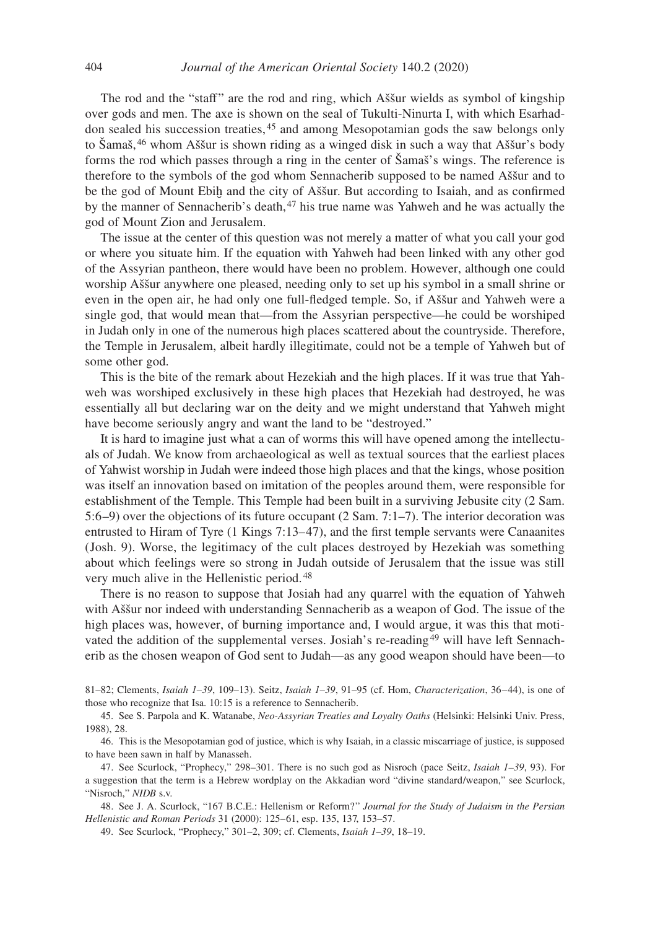The rod and the "staff" are the rod and ring, which Aššur wields as symbol of kingship over gods and men. The axe is shown on the seal of Tukulti-Ninurta I, with which Esarhaddon sealed his succession treaties, 45 and among Mesopotamian gods the saw belongs only to Šamaš, 46 whom Aššur is shown riding as a winged disk in such a way that Aššur's body forms the rod which passes through a ring in the center of Šamaš's wings. The reference is therefore to the symbols of the god whom Sennacherib supposed to be named Aššur and to be the god of Mount Ebiḫ and the city of Aššur. But according to Isaiah, and as confirmed by the manner of Sennacherib's death, 47 his true name was Yahweh and he was actually the god of Mount Zion and Jerusalem.

The issue at the center of this question was not merely a matter of what you call your god or where you situate him. If the equation with Yahweh had been linked with any other god of the Assyrian pantheon, there would have been no problem. However, although one could worship Aššur anywhere one pleased, needing only to set up his symbol in a small shrine or even in the open air, he had only one full-fledged temple. So, if Aššur and Yahweh were a single god, that would mean that—from the Assyrian perspective—he could be worshiped in Judah only in one of the numerous high places scattered about the countryside. Therefore, the Temple in Jerusalem, albeit hardly illegitimate, could not be a temple of Yahweh but of some other god.

This is the bite of the remark about Hezekiah and the high places. If it was true that Yahweh was worshiped exclusively in these high places that Hezekiah had destroyed, he was essentially all but declaring war on the deity and we might understand that Yahweh might have become seriously angry and want the land to be "destroyed."

It is hard to imagine just what a can of worms this will have opened among the intellectuals of Judah. We know from archaeological as well as textual sources that the earliest places of Yahwist worship in Judah were indeed those high places and that the kings, whose position was itself an innovation based on imitation of the peoples around them, were responsible for establishment of the Temple. This Temple had been built in a surviving Jebusite city (2 Sam. 5:6–9) over the objections of its future occupant (2 Sam. 7:1–7). The interior decoration was entrusted to Hiram of Tyre (1 Kings 7:13–47), and the first temple servants were Canaanites (Josh. 9). Worse, the legitimacy of the cult places destroyed by Hezekiah was something about which feelings were so strong in Judah outside of Jerusalem that the issue was still very much alive in the Hellenistic period. <sup>48</sup>

There is no reason to suppose that Josiah had any quarrel with the equation of Yahweh with Aššur nor indeed with understanding Sennacherib as a weapon of God. The issue of the high places was, however, of burning importance and, I would argue, it was this that motivated the addition of the supplemental verses. Josiah's re-reading<sup>49</sup> will have left Sennacherib as the chosen weapon of God sent to Judah—as any good weapon should have been—to

81–82; Clements, *Isaiah 1–39*, 109–13). Seitz, *Isaiah 1–39*, 91–95 (cf. Hom, *Characterization*, 36–44), is one of those who recognize that Isa. 10:15 is a reference to Sennacherib.

45. See S. Parpola and K. Watanabe, *Neo-Assyrian Treaties and Loyalty Oaths* (Helsinki: Helsinki Univ. Press, 1988), 28.

46. This is the Mesopotamian god of justice, which is why Isaiah, in a classic miscarriage of justice, is supposed to have been sawn in half by Manasseh.

47. See Scurlock, "Prophecy," 298–301. There is no such god as Nisroch (pace Seitz, *Isaiah 1–39*, 93). For a suggestion that the term is a Hebrew wordplay on the Akkadian word "divine standard/weapon," see Scurlock, "Nisroch," *NIDB* s.v.

48. See J. A. Scurlock, "167 B.C.E.: Hellenism or Reform?" *Journal for the Study of Judaism in the Persian Hellenistic and Roman Periods* 31 (2000): 125–61, esp. 135, 137, 153–57.

49. See Scurlock, "Prophecy," 301–2, 309; cf. Clements, *Isaiah 1–39*, 18–19.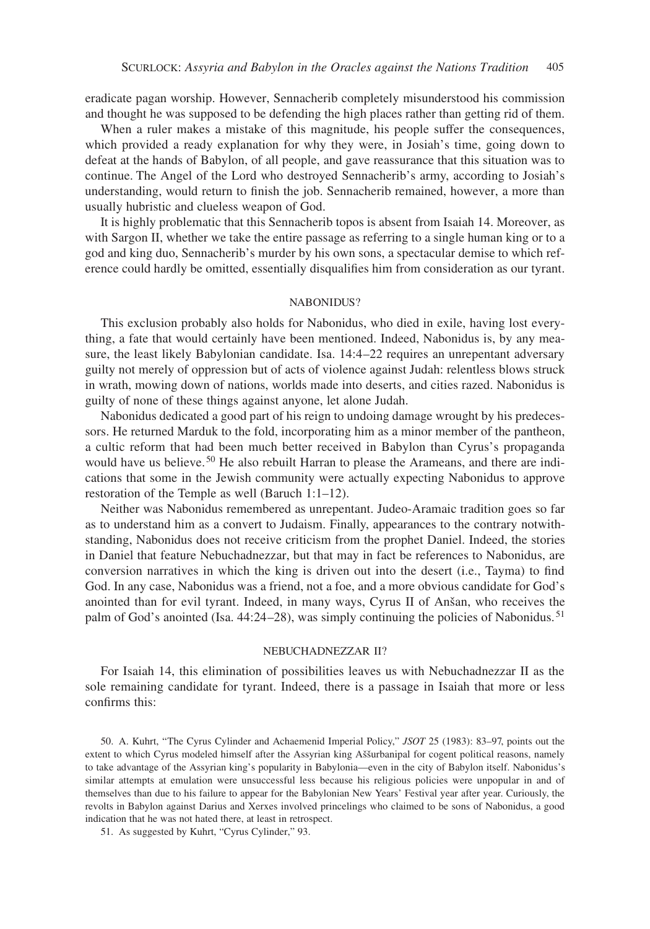eradicate pagan worship. However, Sennacherib completely misunderstood his commission and thought he was supposed to be defending the high places rather than getting rid of them.

When a ruler makes a mistake of this magnitude, his people suffer the consequences, which provided a ready explanation for why they were, in Josiah's time, going down to defeat at the hands of Babylon, of all people, and gave reassurance that this situation was to continue. The Angel of the Lord who destroyed Sennacherib's army, according to Josiah's understanding, would return to finish the job. Sennacherib remained, however, a more than usually hubristic and clueless weapon of God.

It is highly problematic that this Sennacherib topos is absent from Isaiah 14. Moreover, as with Sargon II, whether we take the entire passage as referring to a single human king or to a god and king duo, Sennacherib's murder by his own sons, a spectacular demise to which reference could hardly be omitted, essentially disqualifies him from consideration as our tyrant.

### NABONIDUS?

This exclusion probably also holds for Nabonidus, who died in exile, having lost everything, a fate that would certainly have been mentioned. Indeed, Nabonidus is, by any measure, the least likely Babylonian candidate. Isa. 14:4–22 requires an unrepentant adversary guilty not merely of oppression but of acts of violence against Judah: relentless blows struck in wrath, mowing down of nations, worlds made into deserts, and cities razed. Nabonidus is guilty of none of these things against anyone, let alone Judah.

Nabonidus dedicated a good part of his reign to undoing damage wrought by his predecessors. He returned Marduk to the fold, incorporating him as a minor member of the pantheon, a cultic reform that had been much better received in Babylon than Cyrus's propaganda would have us believe. 50 He also rebuilt Harran to please the Arameans, and there are indications that some in the Jewish community were actually expecting Nabonidus to approve restoration of the Temple as well (Baruch 1:1–12).

Neither was Nabonidus remembered as unrepentant. Judeo-Aramaic tradition goes so far as to understand him as a convert to Judaism. Finally, appearances to the contrary notwithstanding, Nabonidus does not receive criticism from the prophet Daniel. Indeed, the stories in Daniel that feature Nebuchadnezzar, but that may in fact be references to Nabonidus, are conversion narratives in which the king is driven out into the desert (i.e., Tayma) to find God. In any case, Nabonidus was a friend, not a foe, and a more obvious candidate for God's anointed than for evil tyrant. Indeed, in many ways, Cyrus II of Anšan, who receives the palm of God's anointed (Isa. 44:24–28), was simply continuing the policies of Nabonidus. <sup>51</sup>

#### nebuchadnezzar ii?

For Isaiah 14, this elimination of possibilities leaves us with Nebuchadnezzar II as the sole remaining candidate for tyrant. Indeed, there is a passage in Isaiah that more or less confirms this:

50. A. Kuhrt, "The Cyrus Cylinder and Achaemenid Imperial Policy," *JSOT* 25 (1983): 83–97, points out the extent to which Cyrus modeled himself after the Assyrian king Aššurbanipal for cogent political reasons, namely to take advantage of the Assyrian king's popularity in Babylonia—even in the city of Babylon itself. Nabonidus's similar attempts at emulation were unsuccessful less because his religious policies were unpopular in and of themselves than due to his failure to appear for the Babylonian New Years' Festival year after year. Curiously, the revolts in Babylon against Darius and Xerxes involved princelings who claimed to be sons of Nabonidus, a good indication that he was not hated there, at least in retrospect.

51. As suggested by Kuhrt, "Cyrus Cylinder," 93.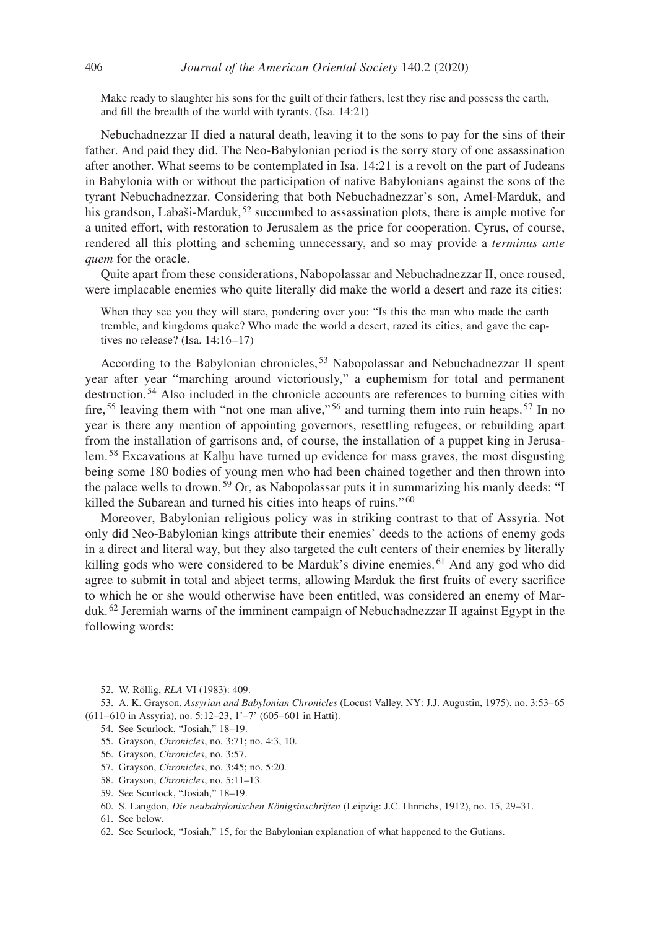Make ready to slaughter his sons for the guilt of their fathers, lest they rise and possess the earth, and fill the breadth of the world with tyrants. (Isa. 14:21)

Nebuchadnezzar II died a natural death, leaving it to the sons to pay for the sins of their father. And paid they did. The Neo-Babylonian period is the sorry story of one assassination after another. What seems to be contemplated in Isa. 14:21 is a revolt on the part of Judeans in Babylonia with or without the participation of native Babylonians against the sons of the tyrant Nebuchadnezzar. Considering that both Nebuchadnezzar's son, Amel-Marduk, and his grandson, Labaši-Marduk,  $52$  succumbed to assassination plots, there is ample motive for a united effort, with restoration to Jerusalem as the price for cooperation. Cyrus, of course, rendered all this plotting and scheming unnecessary, and so may provide a *terminus ante quem* for the oracle.

Quite apart from these considerations, Nabopolassar and Nebuchadnezzar II, once roused, were implacable enemies who quite literally did make the world a desert and raze its cities:

When they see you they will stare, pondering over you: "Is this the man who made the earth tremble, and kingdoms quake? Who made the world a desert, razed its cities, and gave the captives no release? (Isa. 14:16–17)

According to the Babylonian chronicles,<sup>53</sup> Nabopolassar and Nebuchadnezzar II spent year after year "marching around victoriously," a euphemism for total and permanent destruction. 54 Also included in the chronicle accounts are references to burning cities with fire, <sup>55</sup> leaving them with "not one man alive," <sup>56</sup> and turning them into ruin heaps. <sup>57</sup> In no year is there any mention of appointing governors, resettling refugees, or rebuilding apart from the installation of garrisons and, of course, the installation of a puppet king in Jerusalem. 58 Excavations at Kalḫu have turned up evidence for mass graves, the most disgusting being some 180 bodies of young men who had been chained together and then thrown into the palace wells to drown. 59 Or, as Nabopolassar puts it in summarizing his manly deeds: "I killed the Subarean and turned his cities into heaps of ruins."<sup>60</sup>

Moreover, Babylonian religious policy was in striking contrast to that of Assyria. Not only did Neo-Babylonian kings attribute their enemies' deeds to the actions of enemy gods in a direct and literal way, but they also targeted the cult centers of their enemies by literally killing gods who were considered to be Marduk's divine enemies. 61 And any god who did agree to submit in total and abject terms, allowing Marduk the first fruits of every sacrifice to which he or she would otherwise have been entitled, was considered an enemy of Marduk. <sup>62</sup> Jeremiah warns of the imminent campaign of Nebuchadnezzar II against Egypt in the following words:

52. W. Röllig, *RLA* VI (1983): 409.

53. A. K. Grayson, *Assyrian and Babylonian Chronicles* (Locust Valley, NY: J.J. Augustin, 1975), no. 3:53–65 (611–610 in Assyria), no. 5:12–23, 1'–7' (605–601 in Hatti).

- 54. See Scurlock, "Josiah," 18–19.
- 55. Grayson, *Chronicles*, no. 3:71; no. 4:3, 10.
- 56. Grayson, *Chronicles*, no. 3:57.
- 57. Grayson, *Chronicles*, no. 3:45; no. 5:20.
- 58. Grayson, *Chronicles*, no. 5:11–13.
- 59. See Scurlock, "Josiah," 18–19.
- 60. S. Langdon, *Die neubabylonischen Königsinschriften* (Leipzig: J.C. Hinrichs, 1912), no. 15, 29–31.
- 61. See below.
- 62. See Scurlock, "Josiah," 15, for the Babylonian explanation of what happened to the Gutians.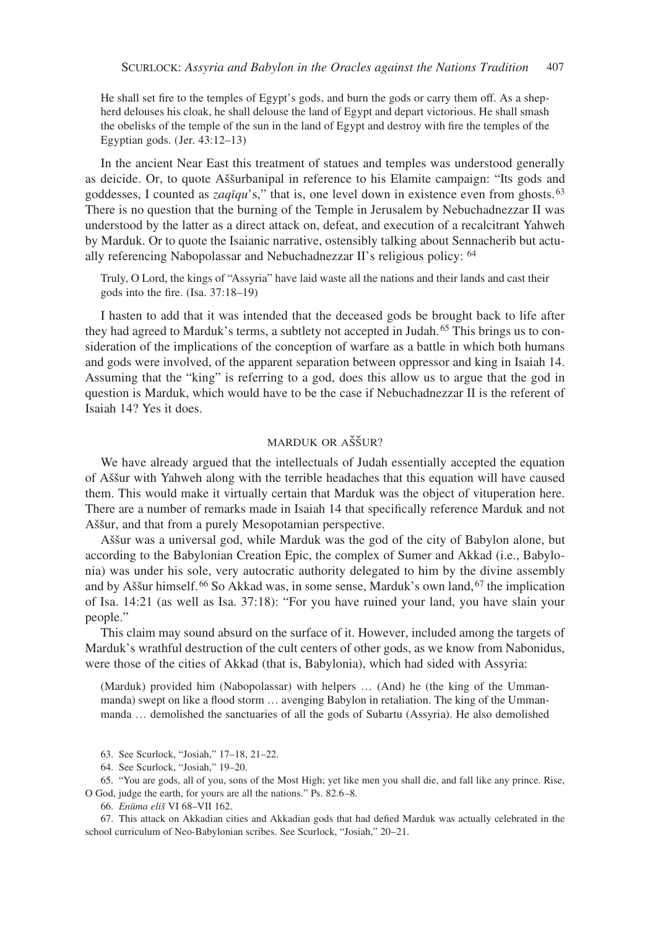He shall set fire to the temples of Egypt's gods, and burn the gods or carry them off. As a shepherd delouses his cloak, he shall delouse the land of Egypt and depart victorious. He shall smash the obelisks of the temple of the sun in the land of Egypt and destroy with fire the temples of the Egyptian gods. (Jer. 43:12–13)

In the ancient Near East this treatment of statues and temples was understood generally as deicide. Or, to quote Aššurbanipal in reference to his Elamite campaign: "Its gods and goddesses, I counted as *zaqīqu*'s," that is, one level down in existence even from ghosts.63 There is no question that the burning of the Temple in Jerusalem by Nebuchadnezzar II was understood by the latter as a direct attack on, defeat, and execution of a recalcitrant Yahweh by Marduk. Or to quote the Isaianic narrative, ostensibly talking about Sennacherib but actually referencing Nabopolassar and Nebuchadnezzar II's religious policy: <sup>64</sup>

Truly, O Lord, the kings of "Assyria" have laid waste all the nations and their lands and cast their gods into the fire. (Isa. 37:18–19)

I hasten to add that it was intended that the deceased gods be brought back to life after they had agreed to Marduk's terms, a subtlety not accepted in Judah. 65 This brings us to consideration of the implications of the conception of warfare as a battle in which both humans and gods were involved, of the apparent separation between oppressor and king in Isaiah 14. Assuming that the "king" is referring to a god, does this allow us to argue that the god in question is Marduk, which would have to be the case if Nebuchadnezzar II is the referent of Isaiah 14? Yes it does.

## marduk or aššur?

We have already argued that the intellectuals of Judah essentially accepted the equation of Aššur with Yahweh along with the terrible headaches that this equation will have caused them. This would make it virtually certain that Marduk was the object of vituperation here. There are a number of remarks made in Isaiah 14 that specifically reference Marduk and not Aššur, and that from a purely Mesopotamian perspective.

Aššur was a universal god, while Marduk was the god of the city of Babylon alone, but according to the Babylonian Creation Epic, the complex of Sumer and Akkad (i.e., Babylonia) was under his sole, very autocratic authority delegated to him by the divine assembly and by Aššur himself. 66 So Akkad was, in some sense, Marduk's own land, 67 the implication of Isa. 14:21 (as well as Isa. 37:18): "For you have ruined your land, you have slain your people."

This claim may sound absurd on the surface of it. However, included among the targets of Marduk's wrathful destruction of the cult centers of other gods, as we know from Nabonidus, were those of the cities of Akkad (that is, Babylonia), which had sided with Assyria:

(Marduk) provided him (Nabopolassar) with helpers … (And) he (the king of the Ummanmanda) swept on like a flood storm … avenging Babylon in retaliation. The king of the Ummanmanda … demolished the sanctuaries of all the gods of Subartu (Assyria). He also demolished

65. "You are gods, all of you, sons of the Most High; yet like men you shall die, and fall like any prince. Rise, O God, judge the earth, for yours are all the nations." Ps. 82.6–8.

66. *Enūma eliš* VI 68–VII 162.

67. This attack on Akkadian cities and Akkadian gods that had defied Marduk was actually celebrated in the school curriculum of Neo-Babylonian scribes. See Scurlock, "Josiah," 20–21.

<sup>63.</sup> See Scurlock, "Josiah," 17–18, 21–22.

<sup>64.</sup> See Scurlock, "Josiah," 19–20.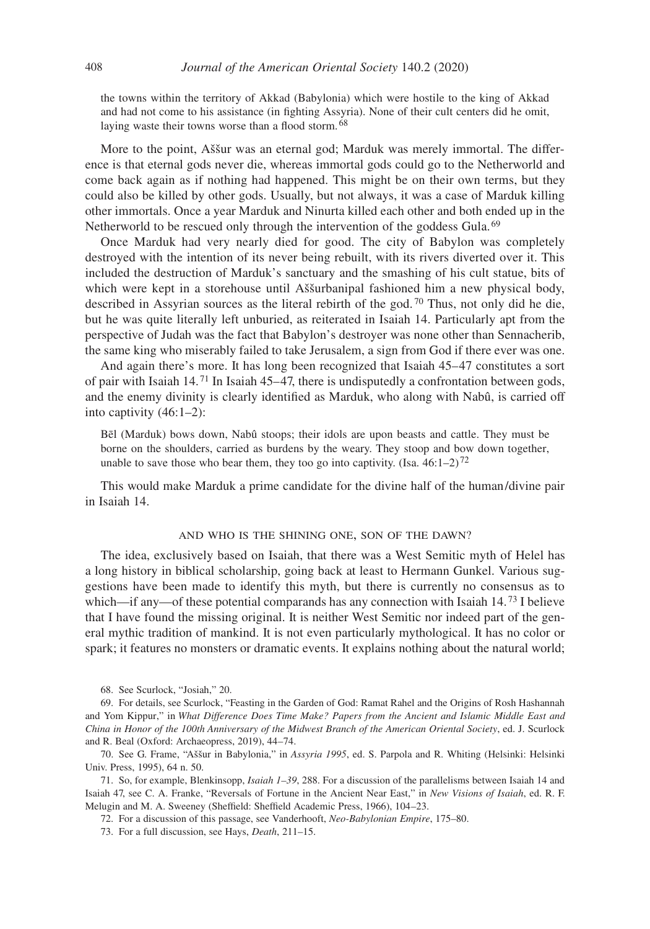the towns within the territory of Akkad (Babylonia) which were hostile to the king of Akkad and had not come to his assistance (in fighting Assyria). None of their cult centers did he omit, laying waste their towns worse than a flood storm.<sup>68</sup>

More to the point, Aššur was an eternal god; Marduk was merely immortal. The difference is that eternal gods never die, whereas immortal gods could go to the Netherworld and come back again as if nothing had happened. This might be on their own terms, but they could also be killed by other gods. Usually, but not always, it was a case of Marduk killing other immortals. Once a year Marduk and Ninurta killed each other and both ended up in the Netherworld to be rescued only through the intervention of the goddess Gula. <sup>69</sup>

Once Marduk had very nearly died for good. The city of Babylon was completely destroyed with the intention of its never being rebuilt, with its rivers diverted over it. This included the destruction of Marduk's sanctuary and the smashing of his cult statue, bits of which were kept in a storehouse until Aššurbanipal fashioned him a new physical body, described in Assyrian sources as the literal rebirth of the god.<sup>70</sup> Thus, not only did he die, but he was quite literally left unburied, as reiterated in Isaiah 14. Particularly apt from the perspective of Judah was the fact that Babylon's destroyer was none other than Sennacherib, the same king who miserably failed to take Jerusalem, a sign from God if there ever was one.

And again there's more. It has long been recognized that Isaiah 45–47 constitutes a sort of pair with Isaiah 14. 71 In Isaiah 45–47, there is undisputedly a confrontation between gods, and the enemy divinity is clearly identified as Marduk, who along with Nabû, is carried off into captivity (46:1–2):

Bēl (Marduk) bows down, Nabû stoops; their idols are upon beasts and cattle. They must be borne on the shoulders, carried as burdens by the weary. They stoop and bow down together, unable to save those who bear them, they too go into captivity. (Isa.  $46:1-2$ )<sup>72</sup>

This would make Marduk a prime candidate for the divine half of the human/divine pair in Isaiah 14.

#### and who is the shining one, son of the dawn?

The idea, exclusively based on Isaiah, that there was a West Semitic myth of Helel has a long history in biblical scholarship, going back at least to Hermann Gunkel. Various suggestions have been made to identify this myth, but there is currently no consensus as to which—if any—of these potential comparands has any connection with Isaiah 14.<sup>73</sup> I believe that I have found the missing original. It is neither West Semitic nor indeed part of the general mythic tradition of mankind. It is not even particularly mythological. It has no color or spark; it features no monsters or dramatic events. It explains nothing about the natural world;

68. See Scurlock, "Josiah," 20.

72. For a discussion of this passage, see Vanderhooft, *Neo-Babylonian Empire*, 175–80.

73. For a full discussion, see Hays, *Death*, 211–15.

<sup>69.</sup> For details, see Scurlock, "Feasting in the Garden of God: Ramat Rahel and the Origins of Rosh Hashannah and Yom Kippur," in *What Difference Does Time Make? Papers from the Ancient and Islamic Middle East and China in Honor of the 100th Anniversary of the Midwest Branch of the American Oriental Society*, ed. J. Scurlock and R. Beal (Oxford: Archaeopress, 2019), 44–74.

<sup>70.</sup> See G. Frame, "Aššur in Babylonia," in *Assyria 1995*, ed. S. Parpola and R. Whiting (Helsinki: Helsinki Univ. Press, 1995), 64 n. 50.

<sup>71.</sup> So, for example, Blenkinsopp, *Isaiah 1–39*, 288. For a discussion of the parallelisms between Isaiah 14 and Isaiah 47, see C. A. Franke, "Reversals of Fortune in the Ancient Near East," in *New Visions of Isaiah*, ed. R. F. Melugin and M. A. Sweeney (Sheffield: Sheffield Academic Press, 1966), 104–23.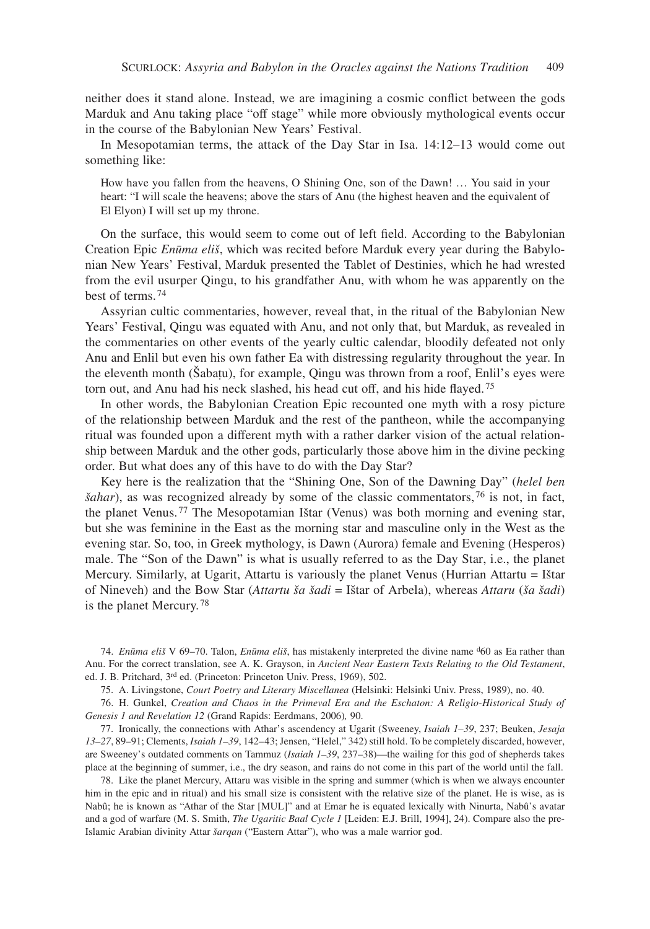neither does it stand alone. Instead, we are imagining a cosmic conflict between the gods Marduk and Anu taking place "off stage" while more obviously mythological events occur in the course of the Babylonian New Years' Festival.

In Mesopotamian terms, the attack of the Day Star in Isa. 14:12–13 would come out something like:

How have you fallen from the heavens, O Shining One, son of the Dawn! … You said in your heart: "I will scale the heavens; above the stars of Anu (the highest heaven and the equivalent of El Elyon) I will set up my throne.

On the surface, this would seem to come out of left field. According to the Babylonian Creation Epic *Enūma eliš*, which was recited before Marduk every year during the Babylonian New Years' Festival, Marduk presented the Tablet of Destinies, which he had wrested from the evil usurper Qingu, to his grandfather Anu, with whom he was apparently on the best of terms. <sup>74</sup>

Assyrian cultic commentaries, however, reveal that, in the ritual of the Babylonian New Years' Festival, Qingu was equated with Anu, and not only that, but Marduk, as revealed in the commentaries on other events of the yearly cultic calendar, bloodily defeated not only Anu and Enlil but even his own father Ea with distressing regularity throughout the year. In the eleventh month (Šabaṭu), for example, Qingu was thrown from a roof, Enlil's eyes were torn out, and Anu had his neck slashed, his head cut off, and his hide flayed.<sup>75</sup>

In other words, the Babylonian Creation Epic recounted one myth with a rosy picture of the relationship between Marduk and the rest of the pantheon, while the accompanying ritual was founded upon a different myth with a rather darker vision of the actual relationship between Marduk and the other gods, particularly those above him in the divine pecking order. But what does any of this have to do with the Day Star?

Key here is the realization that the "Shining One, Son of the Dawning Day" (*helel ben šahar*), as was recognized already by some of the classic commentators, 76 is not, in fact, the planet Venus. 77 The Mesopotamian Ištar (Venus) was both morning and evening star, but she was feminine in the East as the morning star and masculine only in the West as the evening star. So, too, in Greek mythology, is Dawn (Aurora) female and Evening (Hesperos) male. The "Son of the Dawn" is what is usually referred to as the Day Star, i.e., the planet Mercury. Similarly, at Ugarit, Attartu is variously the planet Venus (Hurrian Attartu = Ištar of Nineveh) and the Bow Star (*Attartu ša šadi* = Ištar of Arbela), whereas *Attaru* (*ša šadi*) is the planet Mercury. <sup>78</sup>

74. *Enūma eliš* V 69–70. Talon, *Enūma eliš*, has mistakenly interpreted the divine name d60 as Ea rather than Anu. For the correct translation, see A. K. Grayson, in *Ancient Near Eastern Texts Relating to the Old Testament*, ed. J. B. Pritchard, 3rd ed. (Princeton: Princeton Univ. Press, 1969), 502.

75. A. Livingstone, *Court Poetry and Literary Miscellanea* (Helsinki: Helsinki Univ. Press, 1989), no. 40.

76. H. Gunkel, *Creation and Chaos in the Primeval Era and the Eschaton: A Religio-Historical Study of Genesis 1 and Revelation 12* (Grand Rapids: Eerdmans, 2006)*,* 90.

77. Ironically, the connections with Athar's ascendency at Ugarit (Sweeney, *Isaiah 1–39*, 237; Beuken, *Jesaja 13–27*, 89–91; Clements, *Isaiah 1–39*, 142–43; Jensen, "Helel," 342) still hold. To be completely discarded, however, are Sweeney's outdated comments on Tammuz (*Isaiah 1–39*, 237–38)—the wailing for this god of shepherds takes place at the beginning of summer, i.e., the dry season, and rains do not come in this part of the world until the fall.

78. Like the planet Mercury, Attaru was visible in the spring and summer (which is when we always encounter him in the epic and in ritual) and his small size is consistent with the relative size of the planet. He is wise, as is Nabû; he is known as "Athar of the Star [MUL]" and at Emar he is equated lexically with Ninurta, Nabû's avatar and a god of warfare (M. S. Smith, *The Ugaritic Baal Cycle 1* [Leiden: E.J. Brill, 1994], 24). Compare also the pre-Islamic Arabian divinity Attar *šarqan* ("Eastern Attar"), who was a male warrior god.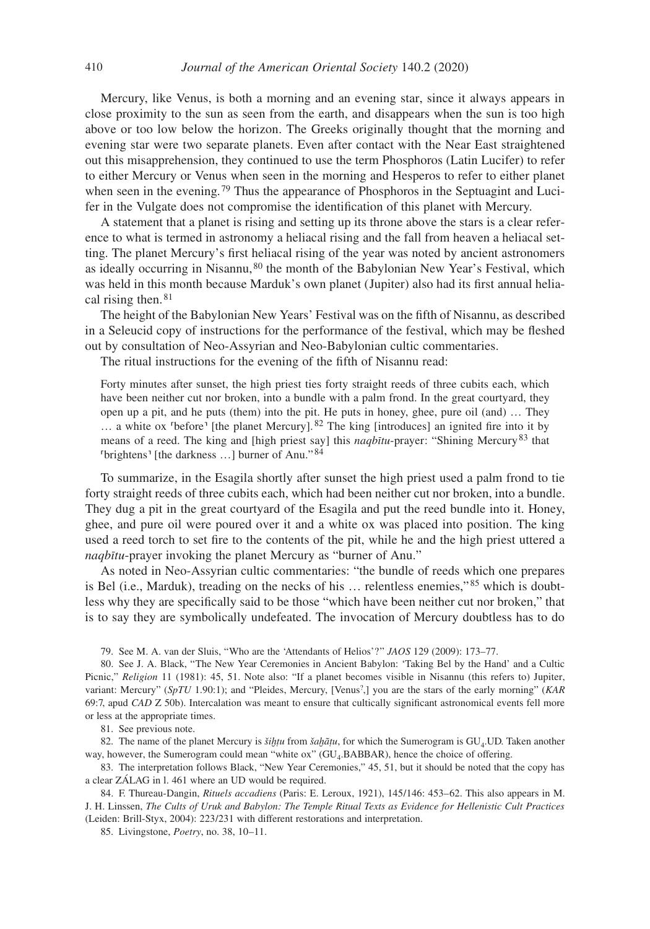Mercury, like Venus, is both a morning and an evening star, since it always appears in close proximity to the sun as seen from the earth, and disappears when the sun is too high above or too low below the horizon. The Greeks originally thought that the morning and evening star were two separate planets. Even after contact with the Near East straightened out this misapprehension, they continued to use the term Phosphoros (Latin Lucifer) to refer to either Mercury or Venus when seen in the morning and Hesperos to refer to either planet when seen in the evening.<sup>79</sup> Thus the appearance of Phosphoros in the Septuagint and Lucifer in the Vulgate does not compromise the identification of this planet with Mercury.

A statement that a planet is rising and setting up its throne above the stars is a clear reference to what is termed in astronomy a heliacal rising and the fall from heaven a heliacal setting. The planet Mercury's first heliacal rising of the year was noted by ancient astronomers as ideally occurring in Nisannu, 80 the month of the Babylonian New Year's Festival, which was held in this month because Marduk's own planet (Jupiter) also had its first annual heliacal rising then. <sup>81</sup>

The height of the Babylonian New Years' Festival was on the fifth of Nisannu, as described in a Seleucid copy of instructions for the performance of the festival, which may be fleshed out by consultation of Neo-Assyrian and Neo-Babylonian cultic commentaries.

The ritual instructions for the evening of the fifth of Nisannu read:

Forty minutes after sunset, the high priest ties forty straight reeds of three cubits each, which have been neither cut nor broken, into a bundle with a palm frond. In the great courtyard, they open up a pit, and he puts (them) into the pit. He puts in honey, ghee, pure oil (and) … They  $\ldots$  a white ox <sup>r</sup>before<sup>1</sup> [the planet Mercury]. <sup>82</sup> The king [introduces] an ignited fire into it by means of a reed. The king and [high priest say] this *naqbītu*-prayer: "Shining Mercury83 that ˹brightens˺ [the darkness …] burner of Anu." <sup>84</sup>

To summarize, in the Esagila shortly after sunset the high priest used a palm frond to tie forty straight reeds of three cubits each, which had been neither cut nor broken, into a bundle. They dug a pit in the great courtyard of the Esagila and put the reed bundle into it. Honey, ghee, and pure oil were poured over it and a white ox was placed into position. The king used a reed torch to set fire to the contents of the pit, while he and the high priest uttered a *naqbītu*-prayer invoking the planet Mercury as "burner of Anu."

As noted in Neo-Assyrian cultic commentaries: "the bundle of reeds which one prepares is Bel (i.e., Marduk), treading on the necks of his  $\ldots$  relentless enemies,"<sup>85</sup> which is doubtless why they are specifically said to be those "which have been neither cut nor broken," that is to say they are symbolically undefeated. The invocation of Mercury doubtless has to do

79. See M. A. van der Sluis, "Who are the 'Attendants of Helios'?" *JAOS* 129 (2009): 173–77.

81. See previous note.

82. The name of the planet Mercury is *šiḫṭu* from *šaḫãṭu*, for which the Sumerogram is GU<sub>4</sub>.UD. Taken another way, however, the Sumerogram could mean "white ox" (GU<sub>4</sub>.BABBAR), hence the choice of offering.

83. The interpretation follows Black, "New Year Ceremonies," 45, 51, but it should be noted that the copy has a clear ZÁLAG in l. 461 where an UD would be required.

84. F. Thureau-Dangin, *Rituels accadiens* (Paris: E. Leroux, 1921), 145/146: 453–62. This also appears in M. J. H. Linssen, *The Cults of Uruk and Babylon: The Temple Ritual Texts as Evidence for Hellenistic Cult Practices* (Leiden: Brill-Styx, 2004): 223/231 with different restorations and interpretation.

85. Livingstone, *Poetry*, no. 38, 10–11.

<sup>80.</sup> See J. A. Black, "The New Year Ceremonies in Ancient Babylon: 'Taking Bel by the Hand' and a Cultic Picnic," *Religion* 11 (1981): 45, 51. Note also: "If a planet becomes visible in Nisannu (this refers to) Jupiter, variant: Mercury" (*SpTU* 1.90:1); and "Pleides, Mercury, [Venus?,] you are the stars of the early morning" (*KAR* 69:7, apud *CAD* Z 50b). Intercalation was meant to ensure that cultically significant astronomical events fell more or less at the appropriate times.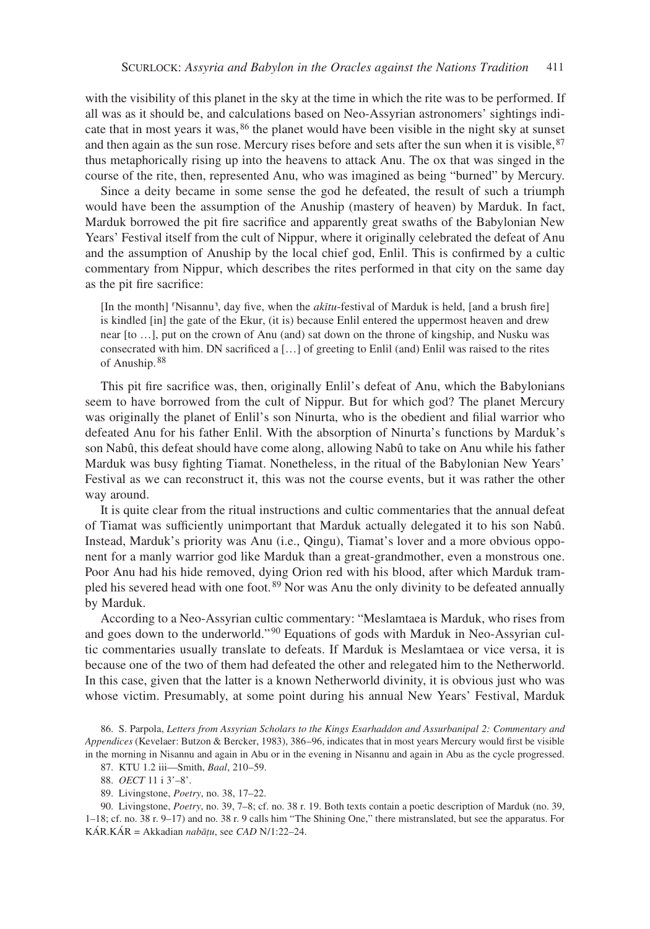with the visibility of this planet in the sky at the time in which the rite was to be performed. If all was as it should be, and calculations based on Neo-Assyrian astronomers' sightings indicate that in most years it was, 86 the planet would have been visible in the night sky at sunset and then again as the sun rose. Mercury rises before and sets after the sun when it is visible, $87$ thus metaphorically rising up into the heavens to attack Anu. The ox that was singed in the course of the rite, then, represented Anu, who was imagined as being "burned" by Mercury.

Since a deity became in some sense the god he defeated, the result of such a triumph would have been the assumption of the Anuship (mastery of heaven) by Marduk. In fact, Marduk borrowed the pit fire sacrifice and apparently great swaths of the Babylonian New Years' Festival itself from the cult of Nippur, where it originally celebrated the defeat of Anu and the assumption of Anuship by the local chief god, Enlil. This is confirmed by a cultic commentary from Nippur, which describes the rites performed in that city on the same day as the pit fire sacrifice:

[In the month] 'Nisannu', day five, when the *akītu*-festival of Marduk is held, [and a brush fire] is kindled [in] the gate of the Ekur, (it is) because Enlil entered the uppermost heaven and drew near [to …], put on the crown of Anu (and) sat down on the throne of kingship, and Nusku was consecrated with him. DN sacrificed a […] of greeting to Enlil (and) Enlil was raised to the rites of Anuship. <sup>88</sup>

This pit fire sacrifice was, then, originally Enlil's defeat of Anu, which the Babylonians seem to have borrowed from the cult of Nippur. But for which god? The planet Mercury was originally the planet of Enlil's son Ninurta, who is the obedient and filial warrior who defeated Anu for his father Enlil. With the absorption of Ninurta's functions by Marduk's son Nabû, this defeat should have come along, allowing Nabû to take on Anu while his father Marduk was busy fighting Tiamat. Nonetheless, in the ritual of the Babylonian New Years' Festival as we can reconstruct it, this was not the course events, but it was rather the other way around.

It is quite clear from the ritual instructions and cultic commentaries that the annual defeat of Tiamat was sufficiently unimportant that Marduk actually delegated it to his son Nabû. Instead, Marduk's priority was Anu (i.e., Qingu), Tiamat's lover and a more obvious opponent for a manly warrior god like Marduk than a great-grandmother, even a monstrous one. Poor Anu had his hide removed, dying Orion red with his blood, after which Marduk trampled his severed head with one foot. 89 Nor was Anu the only divinity to be defeated annually by Marduk.

According to a Neo-Assyrian cultic commentary: "Meslamtaea is Marduk, who rises from and goes down to the underworld." 90 Equations of gods with Marduk in Neo-Assyrian cultic commentaries usually translate to defeats. If Marduk is Meslamtaea or vice versa, it is because one of the two of them had defeated the other and relegated him to the Netherworld. In this case, given that the latter is a known Netherworld divinity, it is obvious just who was whose victim. Presumably, at some point during his annual New Years' Festival, Marduk

86. S. Parpola, *Letters from Assyrian Scholars to the Kings Esarhaddon and Assurbanipal 2: Commentary and Appendices* (Kevelaer: Butzon & Bercker, 1983), 386–96, indicates that in most years Mercury would first be visible in the morning in Nisannu and again in Abu or in the evening in Nisannu and again in Abu as the cycle progressed.

87. KTU 1.2 iii—Smith, *Baal*, 210–59.

89. Livingstone, *Poetry*, no. 38, 17–22.

90. Livingstone, *Poetry*, no. 39, 7–8; cf. no. 38 r. 19. Both texts contain a poetic description of Marduk (no. 39, 1–18; cf. no. 38 r. 9–17) and no. 38 r. 9 calls him "The Shining One," there mistranslated, but see the apparatus. For KÁR.KÁR = Akkadian *nabāṭu*, see *CAD* N/1:22–24.

<sup>88.</sup> *OECT* 11 i 3'–8'.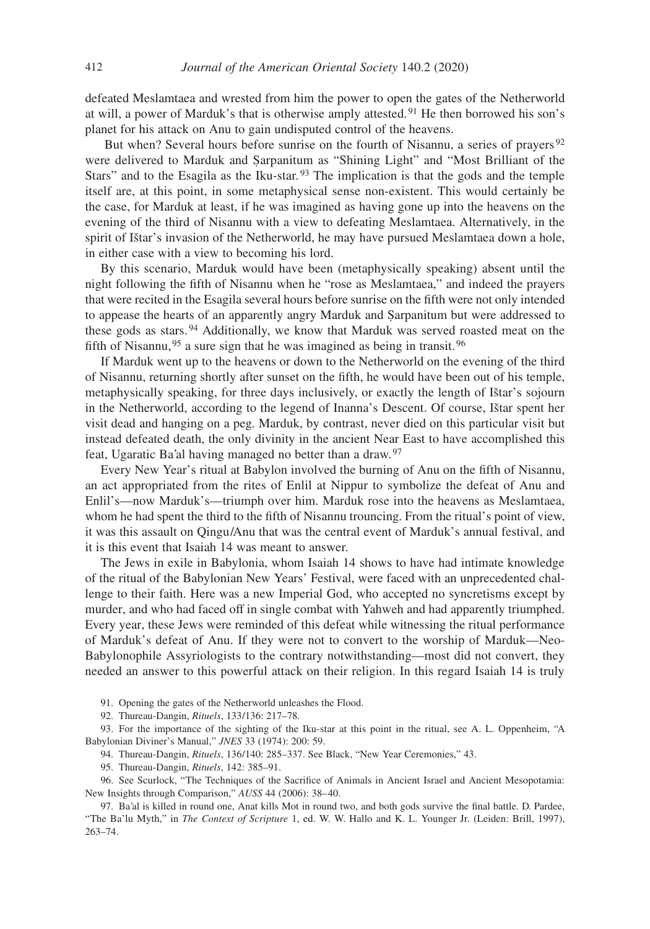defeated Meslamtaea and wrested from him the power to open the gates of the Netherworld at will, a power of Marduk's that is otherwise amply attested. 91 He then borrowed his son's planet for his attack on Anu to gain undisputed control of the heavens.

But when? Several hours before sunrise on the fourth of Nisannu, a series of prayers<sup>92</sup> were delivered to Marduk and Ṣarpanitum as "Shining Light" and "Most Brilliant of the Stars" and to the Esagila as the Iku-star.<sup>93</sup> The implication is that the gods and the temple itself are, at this point, in some metaphysical sense non-existent. This would certainly be the case, for Marduk at least, if he was imagined as having gone up into the heavens on the evening of the third of Nisannu with a view to defeating Meslamtaea. Alternatively, in the spirit of Ištar's invasion of the Netherworld, he may have pursued Meslamtaea down a hole, in either case with a view to becoming his lord.

By this scenario, Marduk would have been (metaphysically speaking) absent until the night following the fifth of Nisannu when he "rose as Meslamtaea," and indeed the prayers that were recited in the Esagila several hours before sunrise on the fifth were not only intended to appease the hearts of an apparently angry Marduk and Ṣarpanitum but were addressed to these gods as stars. 94 Additionally, we know that Marduk was served roasted meat on the fifth of Nisannu, 95 a sure sign that he was imagined as being in transit. <sup>96</sup>

If Marduk went up to the heavens or down to the Netherworld on the evening of the third of Nisannu, returning shortly after sunset on the fifth, he would have been out of his temple, metaphysically speaking, for three days inclusively, or exactly the length of Ištar's sojourn in the Netherworld, according to the legend of Inanna's Descent. Of course, Ištar spent her visit dead and hanging on a peg. Marduk, by contrast, never died on this particular visit but instead defeated death, the only divinity in the ancient Near East to have accomplished this feat, Ugaratic Ba'al having managed no better than a draw.<sup>97</sup>

Every New Year's ritual at Babylon involved the burning of Anu on the fifth of Nisannu, an act appropriated from the rites of Enlil at Nippur to symbolize the defeat of Anu and Enlil's—now Marduk's—triumph over him. Marduk rose into the heavens as Meslamtaea, whom he had spent the third to the fifth of Nisannu trouncing. From the ritual's point of view, it was this assault on Qingu/Anu that was the central event of Marduk's annual festival, and it is this event that Isaiah 14 was meant to answer.

The Jews in exile in Babylonia, whom Isaiah 14 shows to have had intimate knowledge of the ritual of the Babylonian New Years' Festival, were faced with an unprecedented challenge to their faith. Here was a new Imperial God, who accepted no syncretisms except by murder, and who had faced off in single combat with Yahweh and had apparently triumphed. Every year, these Jews were reminded of this defeat while witnessing the ritual performance of Marduk's defeat of Anu. If they were not to convert to the worship of Marduk—Neo-Babylonophile Assyriologists to the contrary notwithstanding—most did not convert, they needed an answer to this powerful attack on their religion. In this regard Isaiah 14 is truly

91. Opening the gates of the Netherworld unleashes the Flood.

92. Thureau-Dangin, *Rituels*, 133/136: 217–78.

93. For the importance of the sighting of the Iku-star at this point in the ritual, see A. L. Oppenheim, "A Babylonian Diviner's Manual," *JNES* 33 (1974): 200: 59.

94. Thureau-Dangin, *Rituels*, 136/140: 285–337. See Black, "New Year Ceremonies," 43.

95. Thureau-Dangin, *Rituels*, 142: 385–91.

96. See Scurlock, "The Techniques of the Sacrifice of Animals in Ancient Israel and Ancient Mesopotamia: New Insights through Comparison," *AUSS* 44 (2006): 38–40.

97. Ba'al is killed in round one, Anat kills Mot in round two, and both gods survive the final battle. D. Pardee, "The Ba'lu Myth," in *The Context of Scripture* 1, ed. W. W. Hallo and K. L. Younger Jr. (Leiden: Brill, 1997), 263–74.